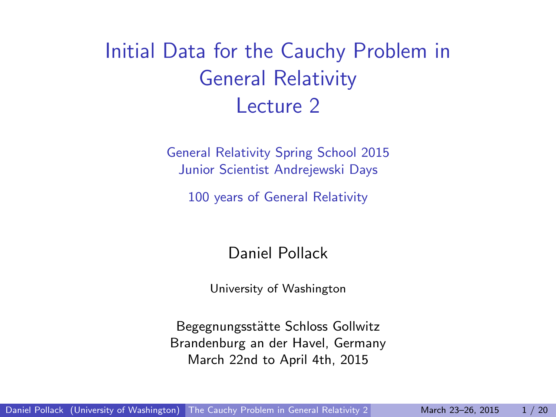<span id="page-0-0"></span>Initial Data for the Cauchy Problem in General Relativity Lecture 2

> General Relativity Spring School 2015 Junior Scientist Andrejewski Days

100 years of General Relativity

Daniel Pollack

University of Washington

Begegnungsstätte Schloss Gollwitz Brandenburg an der Havel, Germany March 22nd to April 4th, 2015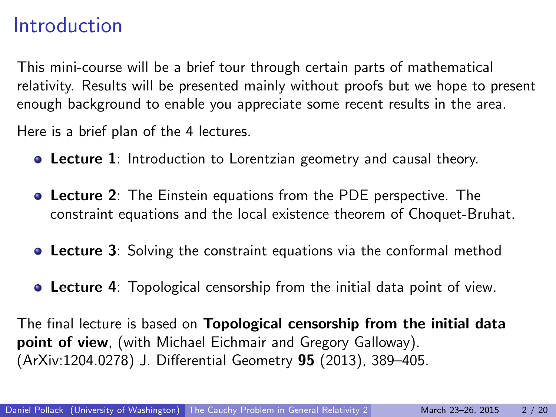### Introduction

This mini-course will be a brief tour through certain parts of mathematical relativity. Results will be presented mainly without proofs but we hope to present enough background to enable you appreciate some recent results in the area.

Here is a brief plan of the 4 lectures.

- **Lecture 1**: Introduction to Lorentzian geometry and causal theory.
- Lecture 2: The Einstein equations from the PDE perspective. The constraint equations and the local existence theorem of Choquet-Bruhat.
- **Lecture 3:** Solving the constraint equations via the conformal method
- **Lecture 4:** Topological censorship from the initial data point of view.

The final lecture is based on Topological censorship from the initial data point of view, (with Michael Eichmair and Gregory Galloway). (ArXiv:1204.0278) J. Differential Geometry 95 (2013), 389–405.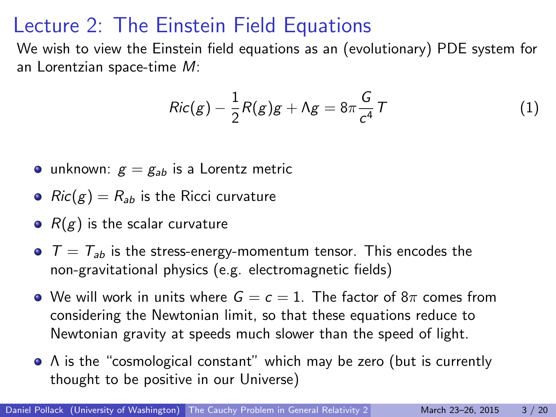## Lecture 2: The Einstein Field Equations

We wish to view the Einstein field equations as an (evolutionary) PDE system for an Lorentzian space-time M:

<span id="page-2-0"></span>
$$
Ric(g) - \frac{1}{2}R(g)g + \Lambda g = 8\pi \frac{G}{c^4}T
$$
 (1)

- unknown:  $g = g_{ab}$  is a Lorentz metric
- $Ric(g) = R_{ab}$  is the Ricci curvature
- $R(g)$  is the scalar curvature
- $T = T_{ab}$  is the stress-energy-momentum tensor. This encodes the non-gravitational physics (e.g. electromagnetic fields)
- We will work in units where  $G = c = 1$ . The factor of  $8\pi$  comes from considering the Newtonian limit, so that these equations reduce to Newtonian gravity at speeds much slower than the speed of light.
- A is the "cosmological constant" which may be zero (but is currently thought to be positive in our Universe)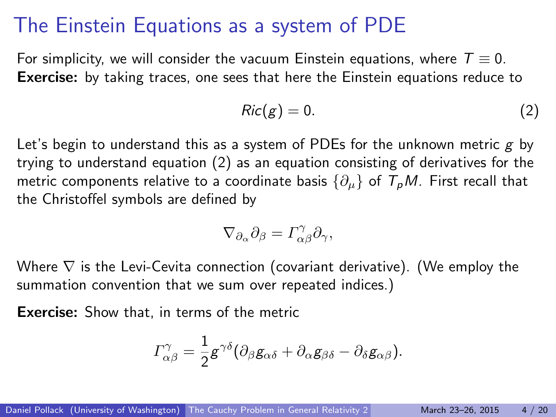#### The Einstein Equations as a system of PDE

For simplicity, we will consider the vacuum Einstein equations, where  $T \equiv 0$ . Exercise: by taking traces, one sees that here the Einstein equations reduce to

<span id="page-3-0"></span>
$$
Ric(g) = 0. \tag{2}
$$

Let's begin to understand this as a system of PDEs for the unknown metric  $g$  by trying to understand equation [\(2\)](#page-3-0) as an equation consisting of derivatives for the metric components relative to a coordinate basis  $\{\partial_\mu\}$  of  $T_pM$ . First recall that the Christoffel symbols are defined by

$$
\nabla_{\partial_{\alpha}}\partial_{\beta} = \Gamma^{\gamma}_{\alpha\beta}\partial_{\gamma},
$$

Where  $\nabla$  is the Levi-Cevita connection (covariant derivative). (We employ the summation convention that we sum over repeated indices.)

Exercise: Show that, in terms of the metric

$$
\Gamma_{\alpha\beta}^{\gamma} = \frac{1}{2} g^{\gamma\delta} (\partial_{\beta} g_{\alpha\delta} + \partial_{\alpha} g_{\beta\delta} - \partial_{\delta} g_{\alpha\beta}).
$$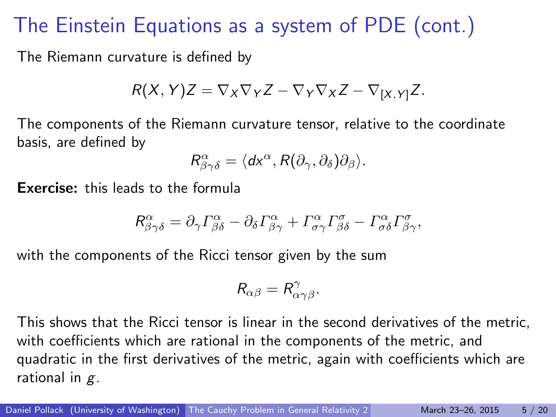## The Einstein Equations as a system of PDE (cont.)

The Riemann curvature is defined by

$$
R(X, Y)Z = \nabla_X \nabla_Y Z - \nabla_Y \nabla_X Z - \nabla_{[X, Y]} Z.
$$

The components of the Riemann curvature tensor, relative to the coordinate basis, are defined by

$$
R^{\alpha}_{\beta\gamma\delta} = \langle dx^{\alpha}, R(\partial_{\gamma}, \partial_{\delta})\partial_{\beta} \rangle.
$$

Exercise: this leads to the formula

$$
R^{\alpha}_{\beta\gamma\delta} = \partial_{\gamma} \Gamma^{\alpha}_{\beta\delta} - \partial_{\delta} \Gamma^{\alpha}_{\beta\gamma} + \Gamma^{\alpha}_{\sigma\gamma} \Gamma^{\sigma}_{\beta\delta} - \Gamma^{\alpha}_{\sigma\delta} \Gamma^{\sigma}_{\beta\gamma},
$$

with the components of the Ricci tensor given by the sum

$$
R_{\alpha\beta}=R^{\gamma}_{\alpha\gamma\beta}.
$$

This shows that the Ricci tensor is linear in the second derivatives of the metric, with coefficients which are rational in the components of the metric, and quadratic in the first derivatives of the metric, again with coefficients which are rational in  $g$ .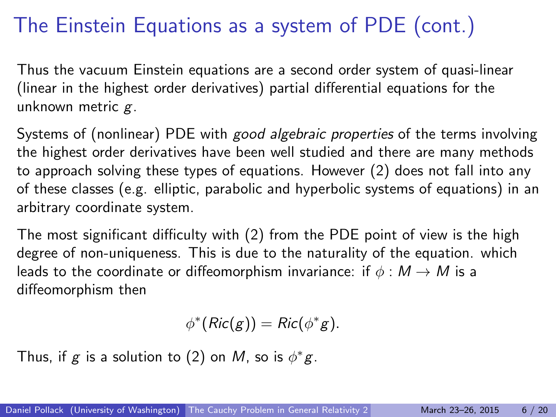# The Einstein Equations as a system of PDE (cont.)

Thus the vacuum Einstein equations are a second order system of quasi-linear (linear in the highest order derivatives) partial differential equations for the unknown metric  $g$ .

Systems of (nonlinear) PDE with good algebraic properties of the terms involving the highest order derivatives have been well studied and there are many methods to approach solving these types of equations. However [\(2\)](#page-3-0) does not fall into any of these classes (e.g. elliptic, parabolic and hyperbolic systems of equations) in an arbitrary coordinate system.

The most significant difficulty with [\(2\)](#page-3-0) from the PDE point of view is the high degree of non-uniqueness. This is due to the naturality of the equation. which leads to the coordinate or diffeomorphism invariance: if  $\phi : M \to M$  is a diffeomorphism then

$$
\phi^*(Ric(g)) = Ric(\phi^*g).
$$

Thus, if g is a solution to [\(2\)](#page-3-0) on M, so is  $\phi^*g$ .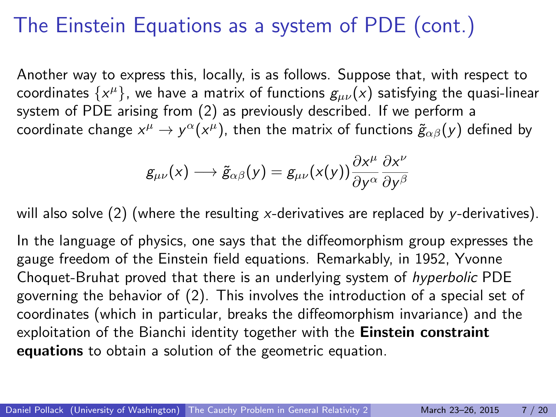### The Einstein Equations as a system of PDE (cont.)

Another way to express this, locally, is as follows. Suppose that, with respect to coordinates  $\{ {\sf x}^{\mu} \}$ , we have a matrix of functions  ${\sf g}_{\mu \nu}({\sf x})$  satisfying the quasi-linear system of PDE arising from [\(2\)](#page-3-0) as previously described. If we perform a coordinate change  $x^\mu \to y^\alpha (x^\mu)$ , then the matrix of functions  $\tilde{g}_{\alpha\beta}(y)$  defined by

$$
g_{\mu\nu}(x) \longrightarrow \tilde{g}_{\alpha\beta}(y) = g_{\mu\nu}(x(y)) \frac{\partial x^{\mu}}{\partial y^{\alpha}} \frac{\partial x^{\nu}}{\partial y^{\beta}}
$$

will also solve  $(2)$  (where the resulting x-derivatives are replaced by y-derivatives).

In the language of physics, one says that the diffeomorphism group expresses the gauge freedom of the Einstein field equations. Remarkably, in 1952, Yvonne Choquet-Bruhat proved that there is an underlying system of hyperbolic PDE governing the behavior of [\(2\)](#page-3-0). This involves the introduction of a special set of coordinates (which in particular, breaks the diffeomorphism invariance) and the exploitation of the Bianchi identity together with the Einstein constraint equations to obtain a solution of the geometric equation.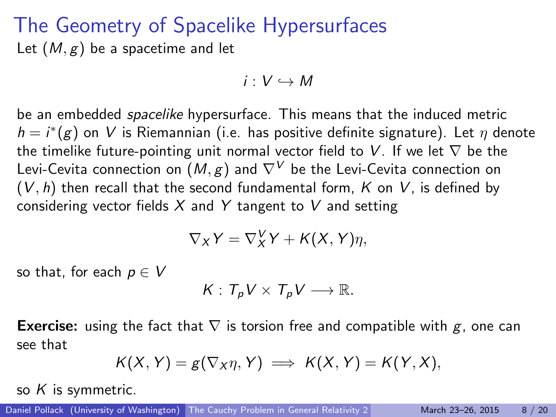#### The Geometry of Spacelike Hypersurfaces Let  $(M, g)$  be a spacetime and let

 $i: V \hookrightarrow M$ 

be an embedded spacelike hypersurface. This means that the induced metric  $h = i^*(g)$  on  $V$  is Riemannian (i.e. has positive definite signature). Let  $\eta$  denote the timelike future-pointing unit normal vector field to V. If we let  $\nabla$  be the Levi-Cevita connection on  $(M, g)$  and  $\nabla^{V}$  be the Levi-Cevita connection on  $(V, h)$  then recall that the second fundamental form, K on V, is defined by considering vector fields  $X$  and  $Y$  tangent to  $V$  and setting

$$
\nabla_X Y = \nabla^V_X Y + K(X, Y)\eta,
$$

so that, for each  $p \in V$ 

$$
K: T_p V \times T_p V \longrightarrow \mathbb{R}.
$$

**Exercise:** using the fact that  $\nabla$  is torsion free and compatible with g, one can see that

$$
K(X, Y) = g(\nabla_X \eta, Y) \implies K(X, Y) = K(Y, X),
$$

so  $K$  is symmetric.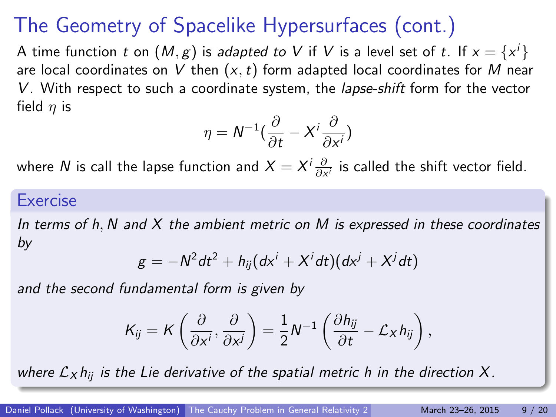# The Geometry of Spacelike Hypersurfaces (cont.)

A time function  $t$  on  $(\mathcal{M},g)$  is *adapted to*  $V$  if  $V$  is a level set of  $t.$  If  $x=\{x^i\}$ are local coordinates on V then  $(x, t)$  form adapted local coordinates for M near  $V$ . With respect to such a coordinate system, the *lapse-shift* form for the vector field  $\eta$  is

$$
\eta = N^{-1}(\frac{\partial}{\partial t} - X^i \frac{\partial}{\partial x^i})
$$

where  $N$  is call the lapse function and  $X=X^i\frac{\partial}{\partial x^i}$  is called the shift vector field.

#### **Exercise**

In terms of h, N and  $X$  the ambient metric on M is expressed in these coordinates by

$$
g = -N^2 dt^2 + h_{ij} (dx^i + X^i dt)(dx^j + X^j dt)
$$

and the second fundamental form is given by

$$
K_{ij} = K\left(\frac{\partial}{\partial x^i}, \frac{\partial}{\partial x^j}\right) = \frac{1}{2}N^{-1}\left(\frac{\partial h_{ij}}{\partial t} - \mathcal{L}_X h_{ij}\right),
$$

where  $\mathcal{L}_{X} h_{ii}$  is the Lie derivative of the spatial metric h in the direction X.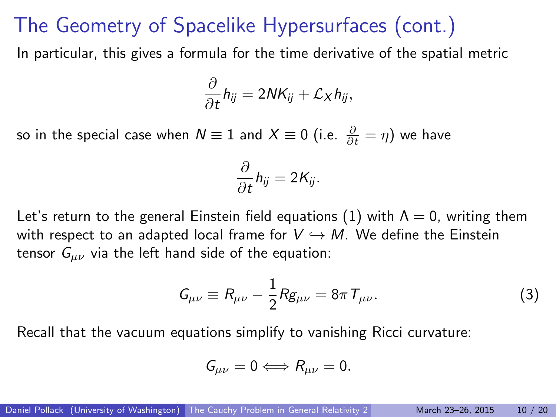#### The Geometry of Spacelike Hypersurfaces (cont.)

In particular, this gives a formula for the time derivative of the spatial metric

$$
\frac{\partial}{\partial t}h_{ij}=2NK_{ij}+\mathcal{L}_Xh_{ij},
$$

so in the special case when  $N\equiv 1$  and  $X\equiv 0$  (i.e.  $\frac{\partial}{\partial t}=\eta)$  we have

$$
\frac{\partial}{\partial t}h_{ij}=2K_{ij}.
$$

Let's return to the general Einstein field equations [\(1\)](#page-2-0) with  $\Lambda = 0$ , writing them with respect to an adapted local frame for  $V \hookrightarrow M$ . We define the Einstein tensor  $G_{\mu\nu}$  via the left hand side of the equation:

<span id="page-9-0"></span>
$$
G_{\mu\nu}\equiv R_{\mu\nu}-\frac{1}{2}Rg_{\mu\nu}=8\pi T_{\mu\nu}.
$$
 (3)

Recall that the vacuum equations simplify to vanishing Ricci curvature:

$$
G_{\mu\nu}=0 \Longleftrightarrow R_{\mu\nu}=0.
$$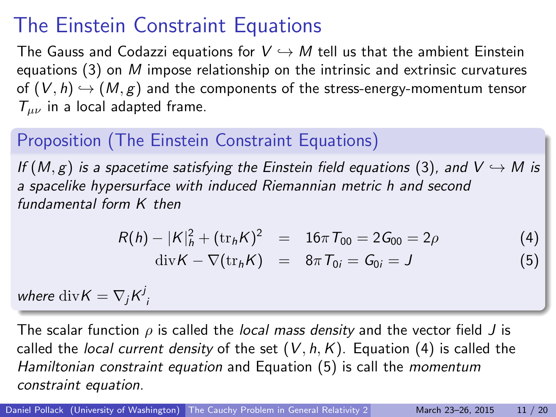## The Einstein Constraint Equations

The Gauss and Codazzi equations for  $V \hookrightarrow M$  tell us that the ambient Einstein equations  $(3)$  on M impose relationship on the intrinsic and extrinsic curvatures of  $(V, h) \hookrightarrow (M, g)$  and the components of the stress-energy-momentum tensor  $T_{\mu\nu}$  in a local adapted frame.

#### Proposition (The Einstein Constraint Equations)

If  $(M, g)$  is a spacetime satisfying the Einstein field equations [\(3\)](#page-9-0), and  $V \hookrightarrow M$  is a spacelike hypersurface with induced Riemannian metric h and second fundamental form K then

$$
R(h) - |K|_h^2 + (\text{tr}_h K)^2 = 16\pi T_{00} = 2G_{00} = 2\rho
$$
 (4)

<span id="page-10-1"></span><span id="page-10-0"></span>
$$
\mathrm{div}K - \nabla(\mathrm{tr}_h K) = 8\pi T_{0i} = G_{0i} = J \tag{5}
$$

where  $\mathrm{div} K = \nabla_j K^j_{\;j}$ 

The scalar function  $\rho$  is called the *local mass density* and the vector field J is called the *local current density* of the set  $(V, h, K)$ . Equation [\(4\)](#page-10-0) is called the Hamiltonian constraint equation and Equation [\(5\)](#page-10-1) is call the momentum constraint equation.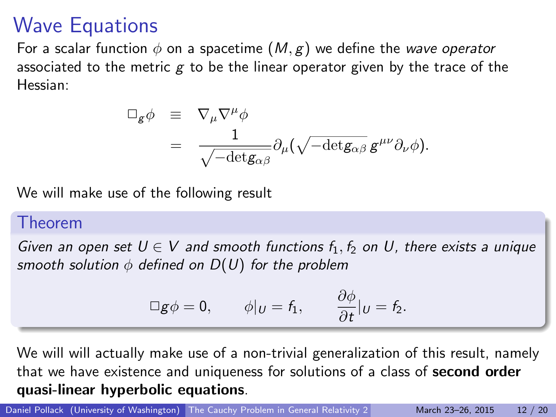## Wave Equations

For a scalar function  $\phi$  on a spacetime  $(M, g)$  we define the wave operator associated to the metric  $g$  to be the linear operator given by the trace of the Hessian:

$$
\begin{array}{lcl} \Box_g \phi & \equiv & \nabla_\mu \nabla^\mu \phi \\ & = & \dfrac{1}{\sqrt{-{\rm det}g_{\alpha\beta}}} \partial_\mu (\sqrt{-{\rm det}g_{\alpha\beta}} \, g^{\mu\nu} \partial_\nu \phi ). \end{array}
$$

We will make use of the following result

#### Theorem

Given an open set  $U \in V$  and smooth functions  $f_1, f_2$  on U, there exists a unique smooth solution  $\phi$  defined on  $D(U)$  for the problem

$$
\Box g \phi = 0, \qquad \phi|_{U} = f_1, \qquad \frac{\partial \phi}{\partial t}|_{U} = f_2.
$$

We will will actually make use of a non-trivial generalization of this result, namely that we have existence and uniqueness for solutions of a class of second order quasi-linear hyperbolic equations.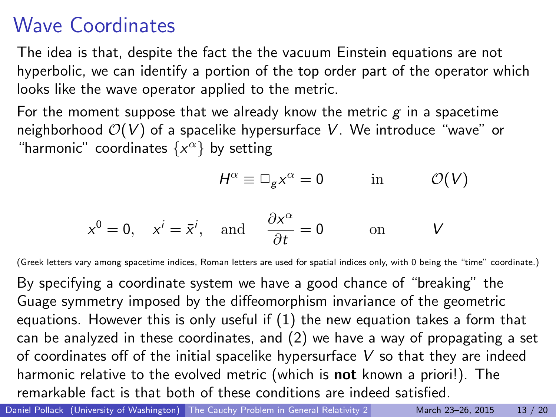## Wave Coordinates

The idea is that, despite the fact the the vacuum Einstein equations are not hyperbolic, we can identify a portion of the top order part of the operator which looks like the wave operator applied to the metric.

For the moment suppose that we already know the metric  $g$  in a spacetime neighborhood  $O(V)$  of a spacelike hypersurface V. We introduce "wave" or "harmonic" coordinates  $\{x^{\alpha}\}$  by setting

$$
H^{\alpha} \equiv \Box_{g} x^{\alpha} = 0 \qquad \text{in} \qquad \mathcal{O}(V)
$$

$$
x^0 = 0
$$
,  $x^i = \bar{x}^i$ , and  $\frac{\partial x^\alpha}{\partial t} = 0$  on V

(Greek letters vary among spacetime indices, Roman letters are used for spatial indices only, with 0 being the "time" coordinate.)

By specifying a coordinate system we have a good chance of "breaking" the Guage symmetry imposed by the diffeomorphism invariance of the geometric equations. However this is only useful if (1) the new equation takes a form that can be analyzed in these coordinates, and (2) we have a way of propagating a set of coordinates off of the initial spacelike hypersurface  $V$  so that they are indeed harmonic relative to the evolved metric (which is **not** known a priori!). The remarkable fact is that both of these conditions are indeed satisfied.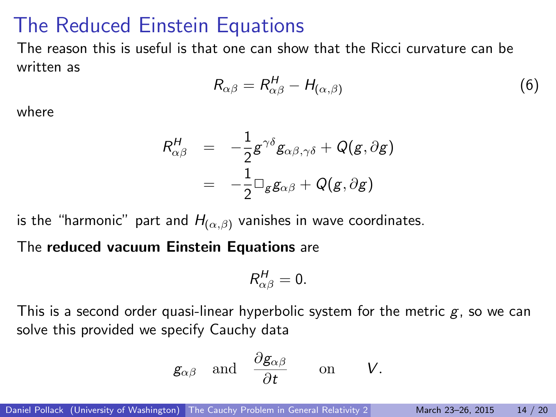#### The Reduced Einstein Equations

The reason this is useful is that one can show that the Ricci curvature can be written as

$$
R_{\alpha\beta} = R_{\alpha\beta}^H - H_{(\alpha,\beta)}
$$
 (6)

where

$$
R_{\alpha\beta}^H = -\frac{1}{2}g^{\gamma\delta}g_{\alpha\beta,\gamma\delta} + Q(g,\partial g)
$$
  
= 
$$
-\frac{1}{2}\Box_g g_{\alpha\beta} + Q(g,\partial g)
$$

is the "harmonic" part and  $H_{(\alpha,\beta)}$  vanishes in wave coordinates.

The reduced vacuum Einstein Equations are

$$
R_{\alpha\beta}^H=0.
$$

This is a second order quasi-linear hyperbolic system for the metric  $g$ , so we can solve this provided we specify Cauchy data

$$
g_{\alpha\beta}
$$
 and  $\frac{\partial g_{\alpha\beta}}{\partial t}$  on V.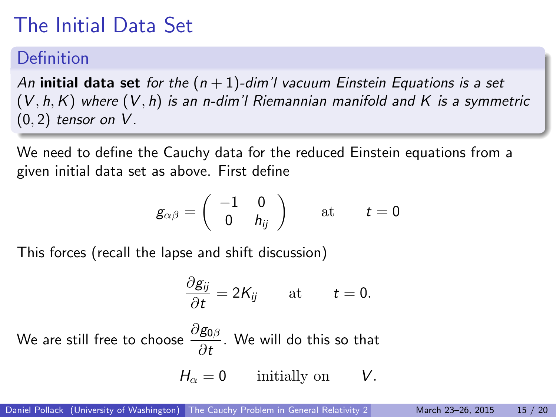# The Initial Data Set

#### **Definition**

An initial data set for the  $(n + 1)$ -dim'l vacuum Einstein Equations is a set  $(V, h, K)$  where  $(V, h)$  is an n-dim'l Riemannian manifold and K is a symmetric  $(0, 2)$  tensor on V.

We need to define the Cauchy data for the reduced Einstein equations from a given initial data set as above. First define

$$
g_{\alpha\beta}=\left(\begin{array}{cc}-1&0\\0&h_{ij}\end{array}\right)\qquad\text{at}\qquad t=0
$$

This forces (recall the lapse and shift discussion)

$$
\frac{\partial g_{ij}}{\partial t}=2K_{ij}\qquad\text{at}\qquad t=0.
$$

We are still free to choose  $\frac{\partial g_{0\beta}}{\partial t}$ . We will do this so that

$$
H_{\alpha} = 0 \quad \text{initially on} \quad V.
$$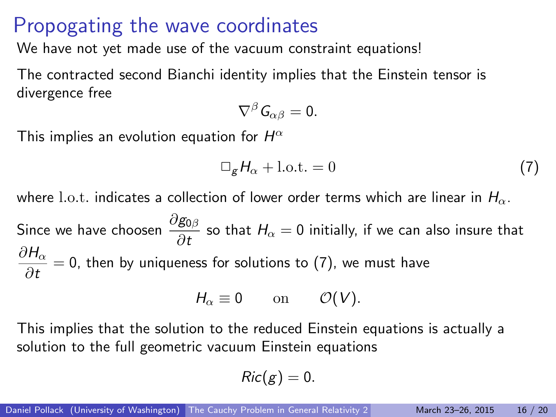#### Propogating the wave coordinates

We have not yet made use of the vacuum constraint equations!

The contracted second Bianchi identity implies that the Einstein tensor is divergence free

$$
\nabla^{\beta}G_{\alpha\beta}=0.
$$

This implies an evolution equation for  $H^\alpha$ 

<span id="page-15-0"></span>
$$
\Box_{g} H_{\alpha} + \text{l.o.t.} = 0 \tag{7}
$$

where l.o.t. indicates a collection of lower order terms which are linear in  $H_{\alpha}$ .

Since we have choosen  $\frac{\partial g_{0\beta}}{\partial t}$  so that  $H_{\alpha}=0$  initially, if we can also insure that  $\partial H_\alpha$  $\frac{\partial u}{\partial t} = 0$ , then by uniqueness for solutions to [\(7\)](#page-15-0), we must have

$$
H_{\alpha}\equiv 0\qquad\text{on}\qquad\mathcal{O}(V).
$$

This implies that the solution to the reduced Einstein equations is actually a solution to the full geometric vacuum Einstein equations

$$
Ric(g)=0.
$$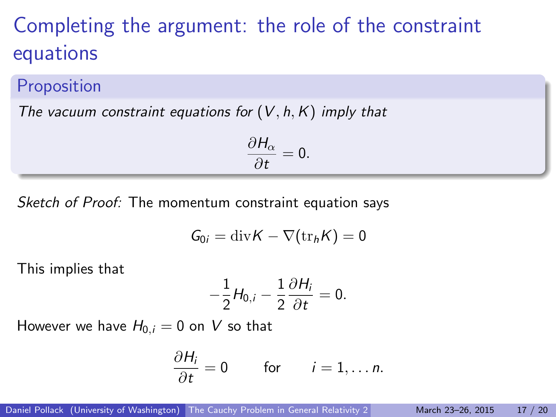## Completing the argument: the role of the constraint equations

#### Proposition

The vacuum constraint equations for  $(V, h, K)$  imply that

$$
\frac{\partial H_{\alpha}}{\partial t}=0.
$$

Sketch of Proof: The momentum constraint equation says

$$
G_{0i} = \mathrm{div} K - \nabla (\mathrm{tr}_h K) = 0
$$

This implies that

$$
-\frac{1}{2}H_{0,i}-\frac{1}{2}\frac{\partial H_i}{\partial t}=0.
$$

However we have  $H_{0,i} = 0$  on V so that

$$
\frac{\partial H_i}{\partial t} = 0 \quad \text{for} \quad i = 1, \dots n.
$$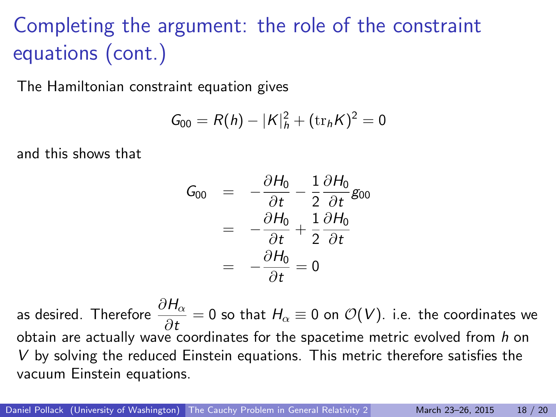# Completing the argument: the role of the constraint equations (cont.)

The Hamiltonian constraint equation gives

$$
G_{00}=R(h)-|K|_h^2+(\mathrm{tr}_h K)^2=0
$$

and this shows that

$$
G_{00} = -\frac{\partial H_0}{\partial t} - \frac{1}{2} \frac{\partial H_0}{\partial t} g_{00}
$$
  
= 
$$
-\frac{\partial H_0}{\partial t} + \frac{1}{2} \frac{\partial H_0}{\partial t}
$$
  
= 
$$
-\frac{\partial H_0}{\partial t} = 0
$$

as desired. Therefore  $\displaystyle\frac{\partial H_{\alpha}}{\partial t}=0$  so that  $H_{\alpha}\equiv 0$  on  $\mathcal{O}(V)$ . i.e. the coordinates we obtain are actually wave coordinates for the spacetime metric evolved from h on V by solving the reduced Einstein equations. This metric therefore satisfies the vacuum Einstein equations.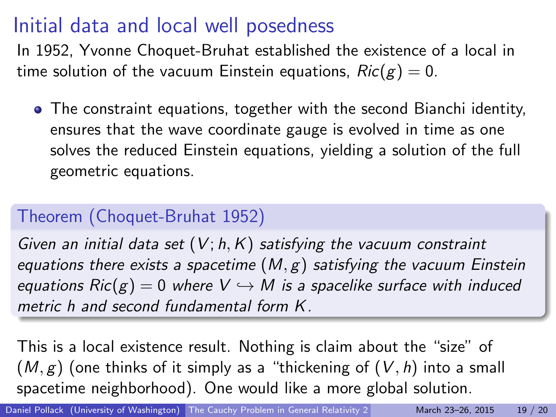## Initial data and local well posedness

In 1952, Yvonne Choquet-Bruhat established the existence of a local in time solution of the vacuum Einstein equations,  $Ric(g) = 0$ .

The constraint equations, together with the second Bianchi identity, ensures that the wave coordinate gauge is evolved in time as one solves the reduced Einstein equations, yielding a solution of the full geometric equations.

#### Theorem (Choquet-Bruhat 1952)

Given an initial data set  $(V; h, K)$  satisfying the vacuum constraint equations there exists a spacetime  $(M, g)$  satisfying the vacuum Einstein equations  $Ric(g) = 0$  where  $V \hookrightarrow M$  is a spacelike surface with induced metric h and second fundamental form K.

This is a local existence result. Nothing is claim about the "size" of  $(M, g)$  (one thinks of it simply as a "thickening of  $(V, h)$  into a small spacetime neighborhood). One would like a more global solution.